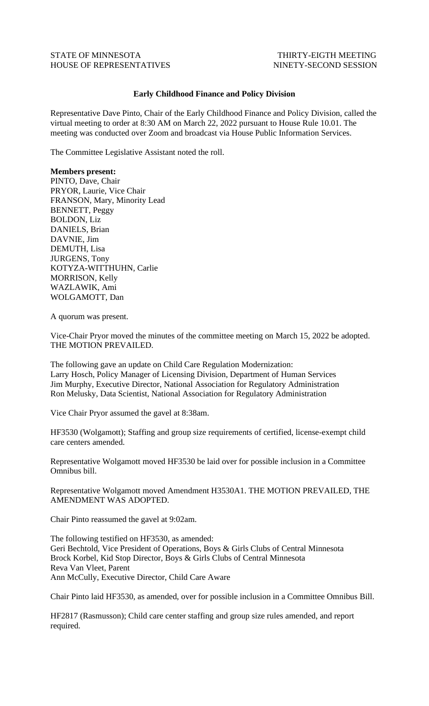## STATE OF MINNESOTA THIRTY-EIGTH MEETING HOUSE OF REPRESENTATIVES NINETY-SECOND SESSION

## **Early Childhood Finance and Policy Division**

Representative Dave Pinto, Chair of the Early Childhood Finance and Policy Division, called the virtual meeting to order at 8:30 AM on March 22, 2022 pursuant to House Rule 10.01. The meeting was conducted over Zoom and broadcast via House Public Information Services.

The Committee Legislative Assistant noted the roll.

## **Members present:**

PINTO, Dave, Chair PRYOR, Laurie, Vice Chair FRANSON, Mary, Minority Lead BENNETT, Peggy BOLDON, Liz DANIELS, Brian DAVNIE, Jim DEMUTH, Lisa JURGENS, Tony KOTYZA-WITTHUHN, Carlie MORRISON, Kelly WAZLAWIK, Ami WOLGAMOTT, Dan

A quorum was present.

Vice-Chair Pryor moved the minutes of the committee meeting on March 15, 2022 be adopted. THE MOTION PREVAILED.

The following gave an update on Child Care Regulation Modernization: Larry Hosch, Policy Manager of Licensing Division, Department of Human Services Jim Murphy, Executive Director, National Association for Regulatory Administration Ron Melusky, Data Scientist, National Association for Regulatory Administration

Vice Chair Pryor assumed the gavel at 8:38am.

HF3530 (Wolgamott); Staffing and group size requirements of certified, license-exempt child care centers amended.

Representative Wolgamott moved HF3530 be laid over for possible inclusion in a Committee Omnibus bill.

Representative Wolgamott moved Amendment H3530A1. THE MOTION PREVAILED, THE AMENDMENT WAS ADOPTED.

Chair Pinto reassumed the gavel at 9:02am.

The following testified on HF3530, as amended: Geri Bechtold, Vice President of Operations, Boys & Girls Clubs of Central Minnesota Brock Korbel, Kid Stop Director, Boys & Girls Clubs of Central Minnesota Reva Van Vleet, Parent Ann McCully, Executive Director, Child Care Aware

Chair Pinto laid HF3530, as amended, over for possible inclusion in a Committee Omnibus Bill.

HF2817 (Rasmusson); Child care center staffing and group size rules amended, and report required.